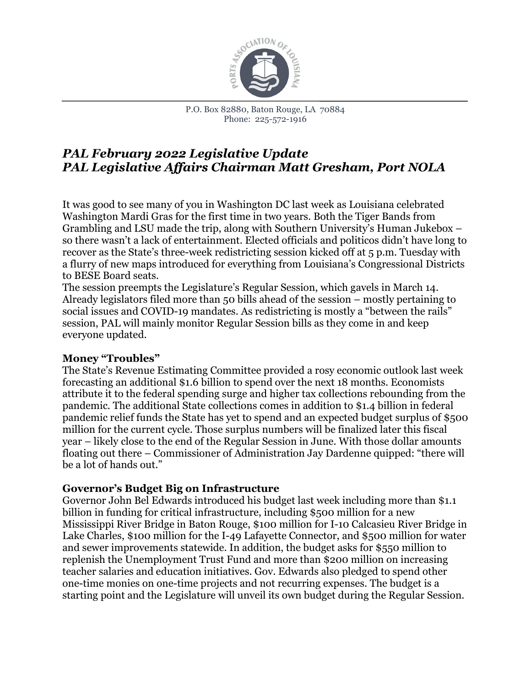

# *PAL February 2022 Legislative Update PAL Legislative Affairs Chairman Matt Gresham, Port NOLA*

It was good to see many of you in Washington DC last week as Louisiana celebrated Washington Mardi Gras for the first time in two years. Both the Tiger Bands from Grambling and LSU made the trip, along with Southern University's Human Jukebox – so there wasn't a lack of entertainment. Elected officials and politicos didn't have long to recover as the State's three-week redistricting session kicked off at 5 p.m. Tuesday with a flurry of new maps introduced for everything from Louisiana's Congressional Districts to BESE Board seats.

The session preempts the Legislature's Regular Session, which gavels in March 14. Already legislators filed more than 50 bills ahead of the session – mostly pertaining to social issues and COVID-19 mandates. As redistricting is mostly a "between the rails" session, PAL will mainly monitor Regular Session bills as they come in and keep everyone updated.

### **Money "Troubles"**

The State's Revenue Estimating Committee provided a rosy economic outlook last week forecasting an additional \$1.6 billion to spend over the next 18 months. Economists attribute it to the federal spending surge and higher tax collections rebounding from the pandemic. The additional State collections comes in addition to \$1.4 billion in federal pandemic relief funds the State has yet to spend and an expected budget surplus of \$500 million for the current cycle. Those surplus numbers will be finalized later this fiscal year – likely close to the end of the Regular Session in June. With those dollar amounts floating out there – Commissioner of Administration Jay Dardenne quipped: "there will be a lot of hands out."

# **Governor's Budget Big on Infrastructure**

Governor John Bel Edwards introduced his budget last week including more than \$1.1 billion in funding for critical infrastructure, including \$500 million for a new Mississippi River Bridge in Baton Rouge, \$100 million for I-10 Calcasieu River Bridge in Lake Charles, \$100 million for the I-49 Lafayette Connector, and \$500 million for water and sewer improvements statewide. In addition, the budget asks for \$550 million to replenish the Unemployment Trust Fund and more than \$200 million on increasing teacher salaries and education initiatives. Gov. Edwards also pledged to spend other one-time monies on one-time projects and not recurring expenses. The budget is a starting point and the Legislature will unveil its own budget during the Regular Session.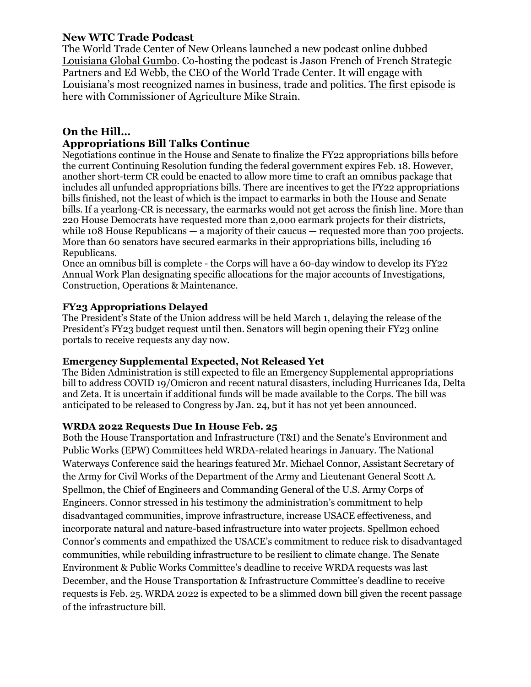# **New WTC Trade Podcast**

The World Trade Center of New Orleans launched a new podcast online dubbed [Louisiana Global Gumbo.](https://urldefense.com/v3/__https:/lapolitics.lt.acemlna.com/Prod/link-tracker?redirectUrl=aHR0cHMlM0ElMkYlMkZwb2RjYXN0cy5hcHBsZS5jb20lMkZ1cyUyRnBvZGNhc3QlMkZsb3Vpc2lhbmEtZ2xvYmFsLWd1bWJvJTJGaWQxNjA3ODU3NTQ0&sig=4FTgU19q8SDDDwwUopCJtq8EQEeqGrkqmjTocL93X846&iat=1643739528&a=*7C*7C89582554*7C*7C&account=lapolitics*2Eactivehosted*2Ecom&email=aw72c88SQSpm1*2BRa17NiBdoqzoyqJQ3ncCPxXsio*2FeI*3D&s=d130af462dec7bbcd1801c5b660b1042&i=764A831A43A15782__;JSUlJSUlJSUl!!MfIX9RQ!JME7ir5Ra011O2k-18MyzrwfudHo8qcoRGXip2surm1EVQtod8qrklJJaiL7xlXgKJw$) Co-hosting the podcast is Jason French of French Strategic Partners and Ed Webb, the CEO of the World Trade Center. It will engage with Louisiana's most recognized names in business, trade and politics. [The first episode](https://urldefense.com/v3/__https:/lapolitics.lt.acemlna.com/Prod/link-tracker?redirectUrl=aHR0cHMlM0ElMkYlMkZwb2RjYXN0cy5hcHBsZS5jb20lMkZ1cyUyRnBvZGNhc3QlMkZsb3Vpc2lhbmEtZ2xvYmFsLWd1bWJvJTJGaWQxNjA3ODU3NTQ0&sig=4FTgU19q8SDDDwwUopCJtq8EQEeqGrkqmjTocL93X846&iat=1643739528&a=*7C*7C89582554*7C*7C&account=lapolitics*2Eactivehosted*2Ecom&email=aw72c88SQSpm1*2BRa17NiBdoqzoyqJQ3ncCPxXsio*2FeI*3D&s=d130af462dec7bbcd1801c5b660b1042&i=764A831A43A15782__;JSUlJSUlJSUl!!MfIX9RQ!JME7ir5Ra011O2k-18MyzrwfudHo8qcoRGXip2surm1EVQtod8qrklJJaiL7xlXgKJw$) is here with Commissioner of Agriculture Mike Strain.

# **On the Hill…**

## **Appropriations Bill Talks Continue**

Negotiations continue in the House and Senate to finalize the FY22 appropriations bills before the current Continuing Resolution funding the federal government expires Feb. 18. However, another short-term CR could be enacted to allow more time to craft an omnibus package that includes all unfunded appropriations bills. There are incentives to get the FY22 appropriations bills finished, not the least of which is the impact to earmarks in both the House and Senate bills. If a yearlong-CR is necessary, the earmarks would not get across the finish line. More than 220 House Democrats have requested more than 2,000 earmark projects for their districts, while 108 House Republicans — a majority of their caucus — requested more than 700 projects. More than 60 senators have secured earmarks in their appropriations bills, including 16 Republicans.

Once an omnibus bill is complete - the Corps will have a 60-day window to develop its FY22 Annual Work Plan designating specific allocations for the major accounts of Investigations, Construction, Operations & Maintenance.

#### **FY23 Appropriations Delayed**

The President's State of the Union address will be held March 1, delaying the release of the President's FY23 budget request until then. Senators will begin opening their FY23 online portals to receive requests any day now.   

#### **Emergency Supplemental Expected, Not Released Yet**

The Biden Administration is still expected to file an Emergency Supplemental appropriations bill to address COVID 19/Omicron and recent natural disasters, including Hurricanes Ida, Delta and Zeta. It is uncertain if additional funds will be made available to the Corps. The bill was anticipated to be released to Congress by Jan. 24, but it has not yet been announced.      

#### **WRDA 2022 Requests Due In House Feb. 25**

Both the House Transportation and Infrastructure (T&I) and the Senate's Environment and Public Works (EPW) Committees held WRDA-related hearings in January. The National Waterways Conference said the hearings featured Mr. Michael Connor, Assistant Secretary of the Army for Civil Works of the Department of the Army and Lieutenant General Scott A. Spellmon, the Chief of Engineers and Commanding General of the U.S. Army Corps of Engineers. Connor stressed in his testimony the administration's commitment to help disadvantaged communities, improve infrastructure, increase USACE effectiveness, and incorporate natural and nature-based infrastructure into water projects. Spellmon echoed Connor's comments and empathized the USACE's commitment to reduce risk to disadvantaged communities, while rebuilding infrastructure to be resilient to climate change. The Senate Environment & Public Works Committee's deadline to receive WRDA requests was last December, and the House Transportation & Infrastructure Committee's deadline to receive requests is Feb. 25. WRDA 2022 is expected to be a slimmed down bill given the recent passage of the infrastructure bill.